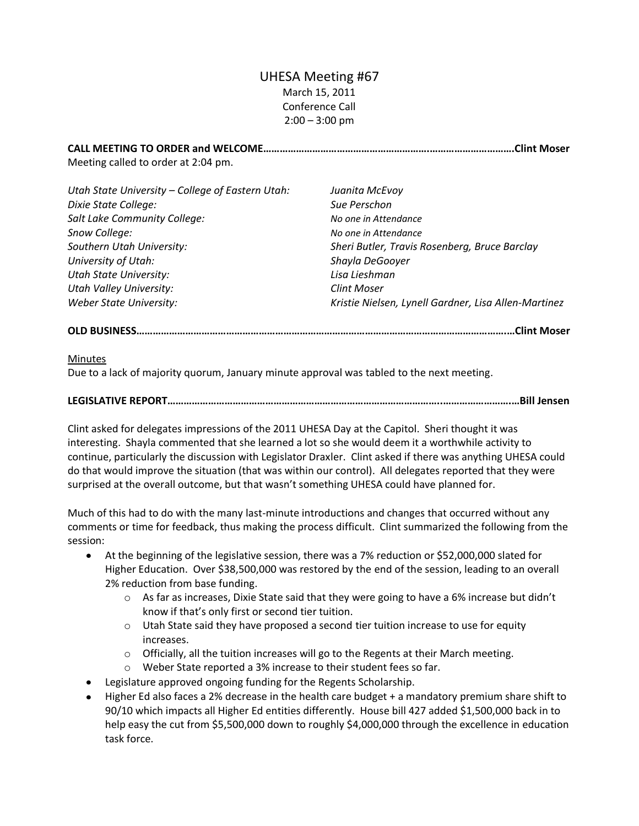# UHESA Meeting #67 March 15, 2011 Conference Call  $2:00 - 3:00$  pm

**CALL MEETING TO ORDER and WELCOME…………………………………………………….………………………….Clint Moser** Meeting called to order at 2:04 pm.

| Utah State University - College of Eastern Utah: | Juanita McEvoy                                       |
|--------------------------------------------------|------------------------------------------------------|
| Dixie State College:                             | Sue Perschon                                         |
| Salt Lake Community College:                     | No one in Attendance                                 |
| Snow College:                                    | No one in Attendance                                 |
| Southern Utah University:                        | Sheri Butler, Travis Rosenberg, Bruce Barclay        |
| University of Utah:                              | Shayla DeGooyer                                      |
| <b>Utah State University:</b>                    | Lisa Lieshman                                        |
| <b>Utah Valley University:</b>                   | <b>Clint Moser</b>                                   |
| <b>Weber State University:</b>                   | Kristie Nielsen, Lynell Gardner, Lisa Allen-Martinez |

## **OLD BUSINESS……………………………………………………………………………………………………………………….…Clint Moser**

### Minutes

Due to a lack of majority quorum, January minute approval was tabled to the next meeting.

## **LEGISLATIVE REPORT………………………………………………………………………………………..…………………….…Bill Jensen**

Clint asked for delegates impressions of the 2011 UHESA Day at the Capitol. Sheri thought it was interesting. Shayla commented that she learned a lot so she would deem it a worthwhile activity to continue, particularly the discussion with Legislator Draxler. Clint asked if there was anything UHESA could do that would improve the situation (that was within our control). All delegates reported that they were surprised at the overall outcome, but that wasn't something UHESA could have planned for.

Much of this had to do with the many last-minute introductions and changes that occurred without any comments or time for feedback, thus making the process difficult. Clint summarized the following from the session:

- At the beginning of the legislative session, there was a 7% reduction or \$52,000,000 slated for Higher Education. Over \$38,500,000 was restored by the end of the session, leading to an overall 2% reduction from base funding.
	- $\circ$  As far as increases, Dixie State said that they were going to have a 6% increase but didn't know if that's only first or second tier tuition.
	- $\circ$  Utah State said they have proposed a second tier tuition increase to use for equity increases.
	- o Officially, all the tuition increases will go to the Regents at their March meeting.
	- o Weber State reported a 3% increase to their student fees so far.
- Legislature approved ongoing funding for the Regents Scholarship.
- Higher Ed also faces a 2% decrease in the health care budget + a mandatory premium share shift to 90/10 which impacts all Higher Ed entities differently. House bill 427 added \$1,500,000 back in to help easy the cut from \$5,500,000 down to roughly \$4,000,000 through the excellence in education task force.